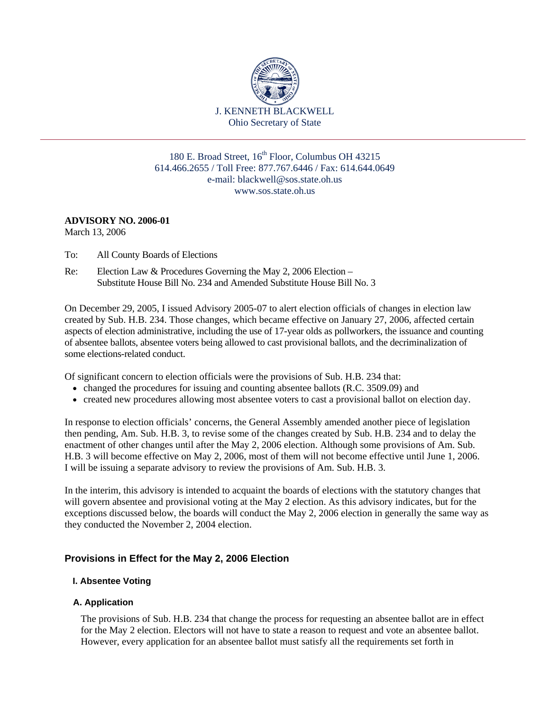

180 E. Broad Street, 16<sup>th</sup> Floor, Columbus OH 43215 614.466.2655 / Toll Free: 877.767.6446 / Fax: 614.644.0649 e-mail: blackwell@sos.state.oh.us www.sos.state.oh.us

# **ADVISORY NO. 2006-01**

March 13, 2006

- To: All County Boards of Elections
- Election Law & Procedures Governing the May 2, 2006 Election  $-$ Re: Election Law & Procedures Governing the May 2, 2006 Election – Substitute House Bill No. 234 and Amended Substitute House Bill No. 3

On December 29, 2005, I issued Advisory 2005-07 to alert election officials of changes in election law created by Sub. H.B. 234. Those changes, which became effective on January 27, 2006, affected certain aspects of election administrative, including the use of 17-year olds as pollworkers, the issuance and counting of absentee ballots, absentee voters being allowed to cast provisional ballots, and the decriminalization of some elections-related conduct.

Of significant concern to election officials were the provisions of Sub. H.B. 234 that:

- changed the procedures for issuing and counting absentee ballots (R.C. 3509.09) and
- created new procedures allowing most absentee voters to cast a provisional ballot on election day.

In response to election officials' concerns, the General Assembly amended another piece of legislation then pending, Am. Sub. H.B. 3, to revise some of the changes created by Sub. H.B. 234 and to delay the enactment of other changes until after the May 2, 2006 election. Although some provisions of Am. Sub. H.B. 3 will become effective on May 2, 2006, most of them will not become effective until June 1, 2006. I will be issuing a separate advisory to review the provisions of Am. Sub. H.B. 3.

In the interim, this advisory is intended to acquaint the boards of elections with the statutory changes that will govern absentee and provisional voting at the May 2 election. As this advisory indicates, but for the exceptions discussed below, the boards will conduct the May 2, 2006 election in generally the same way as they conducted the November 2, 2004 election.

# **Provisions in Effect for the May 2, 2006 Election**

#### **I. Absentee Voting**

## **A. Application**

The provisions of Sub. H.B. 234 that change the process for requesting an absentee ballot are in effect for the May 2 election. Electors will not have to state a reason to request and vote an absentee ballot. However, every application for an absentee ballot must satisfy all the requirements set forth in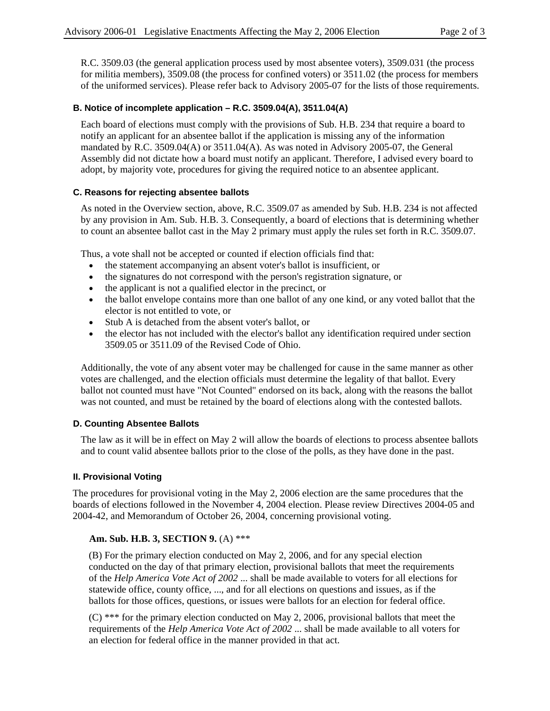R.C. 3509.03 (the general application process used by most absentee voters), 3509.031 (the process for militia members), 3509.08 (the process for confined voters) or 3511.02 (the process for members of the uniformed services). Please refer back to Advisory 2005-07 for the lists of those requirements.

### **B. Notice of incomplete application – R.C. 3509.04(A), 3511.04(A)**

Each board of elections must comply with the provisions of Sub. H.B. 234 that require a board to notify an applicant for an absentee ballot if the application is missing any of the information mandated by R.C. 3509.04(A) or 3511.04(A). As was noted in Advisory 2005-07, the General Assembly did not dictate how a board must notify an applicant. Therefore, I advised every board to adopt, by majority vote, procedures for giving the required notice to an absentee applicant.

#### **C. Reasons for rejecting absentee ballots**

As noted in the Overview section, above, R.C. 3509.07 as amended by Sub. H.B. 234 is not affected by any provision in Am. Sub. H.B. 3. Consequently, a board of elections that is determining whether to count an absentee ballot cast in the May 2 primary must apply the rules set forth in R.C. 3509.07.

Thus, a vote shall not be accepted or counted if election officials find that:

- the statement accompanying an absent voter's ballot is insufficient, or
- the signatures do not correspond with the person's registration signature, or
- the applicant is not a qualified elector in the precinct, or
- the ballot envelope contains more than one ballot of any one kind, or any voted ballot that the elector is not entitled to vote, or
- Stub A is detached from the absent voter's ballot, or
- the elector has not included with the elector's ballot any identification required under section 3509.05 or 3511.09 of the Revised Code of Ohio.

Additionally, the vote of any absent voter may be challenged for cause in the same manner as other votes are challenged, and the election officials must determine the legality of that ballot. Every ballot not counted must have "Not Counted" endorsed on its back, along with the reasons the ballot was not counted, and must be retained by the board of elections along with the contested ballots.

## **D. Counting Absentee Ballots**

The law as it will be in effect on May 2 will allow the boards of elections to process absentee ballots and to count valid absentee ballots prior to the close of the polls, as they have done in the past.

## **II. Provisional Voting**

The procedures for provisional voting in the May 2, 2006 election are the same procedures that the boards of elections followed in the November 4, 2004 election. Please review Directives 2004-05 and 2004-42, and Memorandum of October 26, 2004, concerning provisional voting.

**Am. Sub. H.B. 3, SECTION 9.** (A) \*\*\*<br> **(B)** For the primary election conducted on May 2, 2006, and for any special election conducted on the day of that primary election, provisional ballots that meet the requirements of the *Help America Vote Act of 2002* ... shall be made available to voters for all elections for statewide office, county office, ..., and for all elections on questions and issues, as if the ballots for those offices, questions, or issues were ballots for an election for federal office.

(C) \*\*\* for the primary election conducted on May 2, 2006, provisional ballots that meet the requirements of the *Help America Vote Act of 2002* ... shall be made available to all voters for an election for federal office in the manner provided in that act.